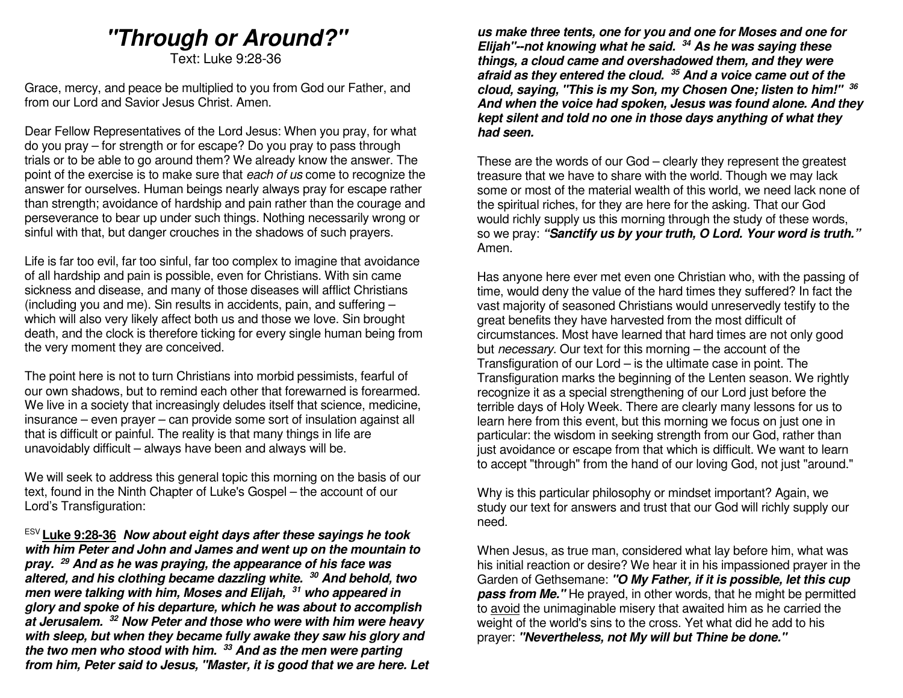# **"Through or Around?"**

Text: Luke 9:28-36

Grace, mercy, and peace be multiplied to you from God our Father, and from our Lord and Savior Jesus Christ. Amen.

Dear Fellow Representatives of the Lord Jesus: When you pray, for what do you pray – for strength or for escape? Do you pray to pass through trials or to be able to go around them? We already know the answer. The point of the exercise is to make sure that each of us come to recognize the answer for ourselves. Human beings nearly always pray for escape rather than strength; avoidance of hardship and pain rather than the courage and perseverance to bear up under such things. Nothing necessarily wrong or sinful with that, but danger crouches in the shadows of such prayers.

Life is far too evil, far too sinful, far too complex to imagine that avoidance of all hardship and pain is possible, even for Christians. With sin came sickness and disease, and many of those diseases will afflict Christians (including you and me). Sin results in accidents, pain, and suffering – which will also very likely affect both us and those we love. Sin brought death, and the clock is therefore ticking for every single human being from the very moment they are conceived.

The point here is not to turn Christians into morbid pessimists, fearful of our own shadows, but to remind each other that forewarned is forearmed. We live in a society that increasingly deludes itself that science, medicine, insurance – even prayer – can provide some sort of insulation against all that is difficult or painful. The reality is that many things in life are unavoidably difficult – always have been and always will be.

We will seek to address this general topic this morning on the basis of our text, found in the Ninth Chapter of Luke's Gospel – the account of our Lord's Transfiguration:

ESV **Luke 9:28-36 Now about eight days after these sayings he took with him Peter and John and James and went up on the mountain to pray. <sup>29</sup> And as he was praying, the appearance of his face was altered, and his clothing became dazzling white. 30 And behold, two men were talking with him, Moses and Elijah, 31 who appeared in glory and spoke of his departure, which he was about to accomplish at Jerusalem. <sup>32</sup> Now Peter and those who were with him were heavy with sleep, but when they became fully awake they saw his glory and the two men who stood with him. <sup>33</sup> And as the men were parting from him, Peter said to Jesus, "Master, it is good that we are here. Let** 

**us make three tents, one for you and one for Moses and one for Elijah"--not knowing what he said. 34 As he was saying these things, a cloud came and overshadowed them, and they were afraid as they entered the cloud. <sup>35</sup> And a voice came out of the cloud, saying, "This is my Son, my Chosen One; listen to him!" <sup>36</sup> And when the voice had spoken, Jesus was found alone. And they kept silent and told no one in those days anything of what they had seen.** 

These are the words of our God – clearly they represent the greatest treasure that we have to share with the world. Though we may lack some or most of the material wealth of this world, we need lack none of the spiritual riches, for they are here for the asking. That our God would richly supply us this morning through the study of these words, so we pray: **"Sanctify us by your truth, O Lord. Your word is truth."** Amen.

Has anyone here ever met even one Christian who, with the passing of time, would deny the value of the hard times they suffered? In fact the vast majority of seasoned Christians would unreservedly testify to the great benefits they have harvested from the most difficult of circumstances. Most have learned that hard times are not only good but necessary. Our text for this morning – the account of the Transfiguration of our Lord – is the ultimate case in point. The Transfiguration marks the beginning of the Lenten season. We rightly recognize it as a special strengthening of our Lord just before the terrible days of Holy Week. There are clearly many lessons for us to learn here from this event, but this morning we focus on just one in particular: the wisdom in seeking strength from our God, rather than just avoidance or escape from that which is difficult. We want to learn to accept "through" from the hand of our loving God, not just "around."

Why is this particular philosophy or mindset important? Again, we study our text for answers and trust that our God will richly supply our need.

When Jesus, as true man, considered what lay before him, what was his initial reaction or desire? We hear it in his impassioned prayer in the Garden of Gethsemane: **"O My Father, if it is possible, let this cup pass from Me."** He prayed, in other words, that he might be permitted to avoid the unimaginable misery that awaited him as he carried the weight of the world's sins to the cross. Yet what did he add to his prayer: **"Nevertheless, not My will but Thine be done."**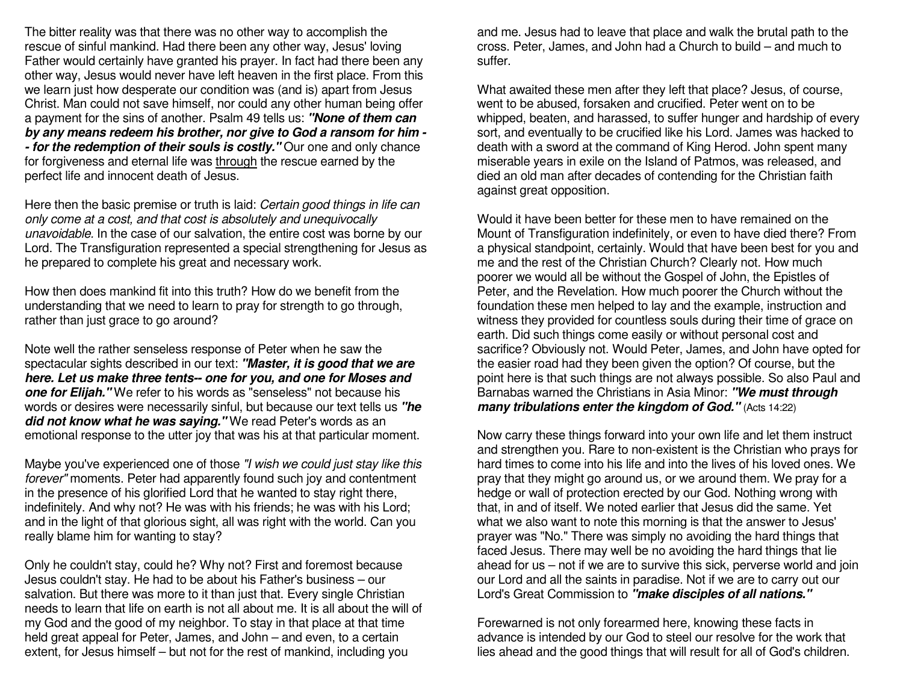The bitter reality was that there was no other way to accomplish the rescue of sinful mankind. Had there been any other way, Jesus' loving Father would certainly have granted his prayer. In fact had there been any other way, Jesus would never have left heaven in the first place. From this we learn just how desperate our condition was (and is) apart from Jesus Christ. Man could not save himself, nor could any other human being offer a payment for the sins of another. Psalm 49 tells us: **"None of them can by any means redeem his brother, nor give to God a ransom for him - - for the redemption of their souls is costly."** Our one and only chance for forgiveness and eternal life was through the rescue earned by the perfect life and innocent death of Jesus.

Here then the basic premise or truth is laid: Certain good things in life can only come at a cost, and that cost is absolutely and unequivocally unavoidable. In the case of our salvation, the entire cost was borne by our Lord. The Transfiguration represented a special strengthening for Jesus as he prepared to complete his great and necessary work.

How then does mankind fit into this truth? How do we benefit from the understanding that we need to learn to pray for strength to go through, rather than just grace to go around?

Note well the rather senseless response of Peter when he saw the spectacular sights described in our text: **"Master, it is good that we are here. Let us make three tents-- one for you, and one for Moses and one for Elijah."** We refer to his words as "senseless" not because his words or desires were necessarily sinful, but because our text tells us **"he did not know what he was saying."** We read Peter's words as an emotional response to the utter joy that was his at that particular moment.

Maybe you've experienced one of those "I wish we could just stay like this forever" moments. Peter had apparently found such joy and contentment in the presence of his glorified Lord that he wanted to stay right there, indefinitely. And why not? He was with his friends; he was with his Lord; and in the light of that glorious sight, all was right with the world. Can you really blame him for wanting to stay?

Only he couldn't stay, could he? Why not? First and foremost because Jesus couldn't stay. He had to be about his Father's business – our salvation. But there was more to it than just that. Every single Christian needs to learn that life on earth is not all about me. It is all about the will of my God and the good of my neighbor. To stay in that place at that time held great appeal for Peter, James, and John – and even, to a certain extent, for Jesus himself – but not for the rest of mankind, including you

and me. Jesus had to leave that place and walk the brutal path to the cross. Peter, James, and John had a Church to build – and much to suffer.

What awaited these men after they left that place? Jesus, of course, went to be abused, forsaken and crucified. Peter went on to be whipped, beaten, and harassed, to suffer hunger and hardship of every sort, and eventually to be crucified like his Lord. James was hacked to death with a sword at the command of King Herod. John spent many miserable years in exile on the Island of Patmos, was released, and died an old man after decades of contending for the Christian faith against great opposition.

Would it have been better for these men to have remained on the Mount of Transfiguration indefinitely, or even to have died there? From a physical standpoint, certainly. Would that have been best for you and me and the rest of the Christian Church? Clearly not. How much poorer we would all be without the Gospel of John, the Epistles of Peter, and the Revelation. How much poorer the Church without the foundation these men helped to lay and the example, instruction and witness they provided for countless souls during their time of grace on earth. Did such things come easily or without personal cost and sacrifice? Obviously not. Would Peter, James, and John have opted for the easier road had they been given the option? Of course, but the point here is that such things are not always possible. So also Paul and Barnabas warned the Christians in Asia Minor: **"We must through many tribulations enter the kingdom of God."** (Acts 14:22)

Now carry these things forward into your own life and let them instruct and strengthen you. Rare to non-existent is the Christian who prays for hard times to come into his life and into the lives of his loved ones. We pray that they might go around us, or we around them. We pray for a hedge or wall of protection erected by our God. Nothing wrong with that, in and of itself. We noted earlier that Jesus did the same. Yet what we also want to note this morning is that the answer to Jesus' prayer was "No." There was simply no avoiding the hard things that faced Jesus. There may well be no avoiding the hard things that lie ahead for us – not if we are to survive this sick, perverse world and join our Lord and all the saints in paradise. Not if we are to carry out our Lord's Great Commission to **"make disciples of all nations."**

Forewarned is not only forearmed here, knowing these facts in advance is intended by our God to steel our resolve for the work that lies ahead and the good things that will result for all of God's children.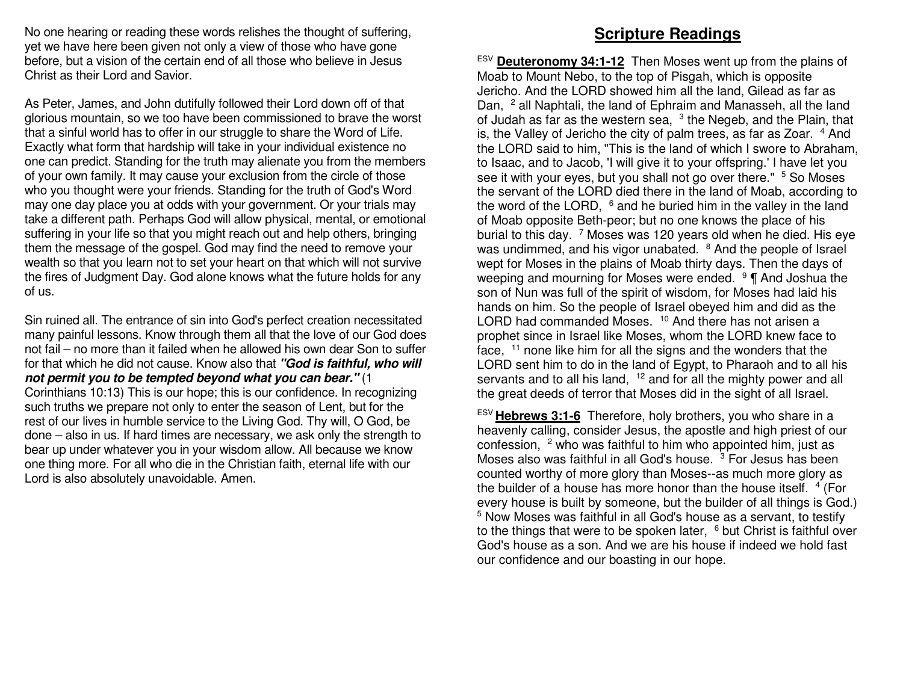No one hearing or reading these words relishes the thought of suffering, yet we have here been given not only a view of those who have gone before, but a vision of the certain end of all those who believe in Jesus Christ as their Lord and Savior.

As Peter, James, and John dutifully followed their Lord down off of that glorious mountain, so we too have been commissioned to brave the worst that a sinful world has to offer in our struggle to share the Word of Life. Exactly what form that hardship will take in your individual existence no one can predict. Standing for the truth may alienate you from the members of your own family. It may cause your exclusion from the circle of those who you thought were your friends. Standing for the truth of God's Word may one day place you at odds with your government. Or your trials may take a different path. Perhaps God will allow physical, mental, or emotional suffering in your life so that you might reach out and help others, bringing them the message of the gospel. God may find the need to remove your wealth so that you learn not to set your heart on that which will not survive the fires of Judgment Day. God alone knows what the future holds for any of us.

Sin ruined all. The entrance of sin into God's perfect creation necessitated many painful lessons. Know through them all that the love of our God does not fail – no more than it failed when he allowed his own dear Son to suffer for that which he did not cause. Know also that **"God is faithful, who will not permit you to be tempted beyond what you can bear."** (1 Corinthians 10:13) This is our hope; this is our confidence. In recognizing such truths we prepare not only to enter the season of Lent, but for the rest of our lives in humble service to the Living God. Thy will, O God, be done – also in us. If hard times are necessary, we ask only the strength to bear up under whatever you in your wisdom allow. All because we know one thing more. For all who die in the Christian faith, eternal life with our Lord is also absolutely unavoidable. Amen.

# **Scripture Readings**

ESV **Deuteronomy 34:1-12** Then Moses went up from the plains of Moab to Mount Nebo, to the top of Pisgah, which is opposite Jericho. And the LORD showed him all the land, Gilead as far as Dan, <sup>2</sup> all Naphtali, the land of Ephraim and Manasseh, all the land of Judah as far as the western sea,  $3$  the Negeb, and the Plain, that is, the Valley of Jericho the city of palm trees, as far as Zoar. <sup>4</sup> And the LORD said to him, "This is the land of which I swore to Abraham, to Isaac, and to Jacob, 'I will give it to your offspring.' I have let you see it with your eyes, but you shall not go over there." <sup>5</sup> So Moses the servant of the LORD died there in the land of Moab, according to the word of the LORD,  $6$  and he buried him in the valley in the land of Moab opposite Beth-peor; but no one knows the place of his burial to this day.  $7$  Moses was 120 years old when he died. His eye was undimmed, and his vigor unabated. <sup>8</sup> And the people of Israel wept for Moses in the plains of Moab thirty days. Then the days of weeping and mourning for Moses were ended. <sup>9</sup> ¶ And Joshua the son of Nun was full of the spirit of wisdom, for Moses had laid his hands on him. So the people of Israel obeyed him and did as the LORD had commanded Moses. <sup>10</sup> And there has not arisen a prophet since in Israel like Moses, whom the LORD knew face to face, 11 none like him for all the signs and the wonders that the LORD sent him to do in the land of Egypt, to Pharaoh and to all his servants and to all his land, <sup>12</sup> and for all the mighty power and all the great deeds of terror that Moses did in the sight of all Israel.

ESV **Hebrews 3:1-6** Therefore, holy brothers, you who share in a heavenly calling, consider Jesus, the apostle and high priest of our confession, <sup>2</sup> who was faithful to him who appointed him, just as Moses also was faithful in all God's house.  $3$  For Jesus has been counted worthy of more glory than Moses--as much more glory as the builder of a house has more honor than the house itself.  $4$  (For every house is built by someone, but the builder of all things is God.) 5 Now Moses was faithful in all God's house as a servant, to testify to the things that were to be spoken later,  $6$  but Christ is faithful over God's house as a son. And we are his house if indeed we hold fast our confidence and our boasting in our hope.